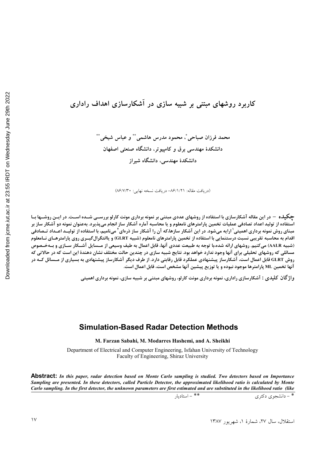# کاربرد روشهای مبتنی بر شبیه سازی در آشکارسازی اهداف راداری

محمد فرزان صباحي ً، محمود مدرس هاشمي ّ ٌ و عباس شيخي ٌ ٌ دانشکدهٔ مهندسی برق و کامپیوتر، دانشگاه صنعتی اصفهان دانشکدهٔ مهندسی، دانشگاه شیراز

(دريافت مقاله: ٨۶/١/٢١- دريافت نسخه نهايي: ٨۶/٧/٣٠)

چکیده – در این مقاله آشکارسازی با استفاده از روشهای عددی مبتنی بر نمونه برداری مونت کارلو بررســی شــده اسـت. در ایــن روشــها بــا استفاده از تولید اعداد تصادفی عملیات تخمین پارامترهای نامعلوم و یا محاسبه آماره آشکار ساز انجام میپذیرد. بهعنوان نمونه دو آشکار ساز بر مبنای روش نمونه برداری اهمیتی<sup>٬</sup> ارایه میشود. در این آشکار سازها،که آن را آشکار ساز ذرهای<sup>۲</sup> مینامیم، با استفاده از تولیــد اعــداد تــصادفی اقدام به محاسبه تقریبی نسبت درستنمایی با استفاده از تخمین پارامترهای نامعلوم (شبیه GLRT) و یاانتگرال گیــری روی پارامترهــای نــامعلوم (شبیه AALR) می کنیم. روشهای ارائه شده،با توجه به طبیعت عددی آنها، قابل اعمال به طیف وسیعی از مــسایل آشــکار ســازی و بــهخــصوص مسائلی که روشهای تحلیلی برای آنها وجود ندارد خواهد بود. نتایج شبیه سازی در چندین حالت مختلف نشان دهندهٔ این است که در حالاتی که روش GLRT قابل اعمال است، آشکارساز پیشنهادی عملکرد قابل رقابتی دارد. از طرف دیگر آشکارساز پیشنهادی به بسیاری از مــسائل کــه در آنها تخمین ML پارامترها موجود نبوده و یا توزیع پیشین آنها مشخص است، قابل اعمال است.

واژ گان کلیدی : آشکارسازی راداری، نمونه برداری مونت کارلو، روشهای مبتنی بر شبیه سازی، نمونه برداری اهمیتی

#### **Simulation-Based Radar Detection Methods**

M. Farzan Sabahi, M. Modarres Hashemi, and A. Sheikhi

Department of Electrical and Computer Engineering, Isfahan University of Technology Faculty of Engineering, Shiraz University

**Abstract:** In this paper, radar detection based on Monte Carlo sampling is studied. Two detectors based on Importance Sampling are presented. In these detectors, called Particle Detector, the approximated likelihood ratio is calculated by Monte Carlo sampling. In the first detector, the unknown parameters are first estimated and are substituted in the likelihood ratio (like

\*\* - استاديار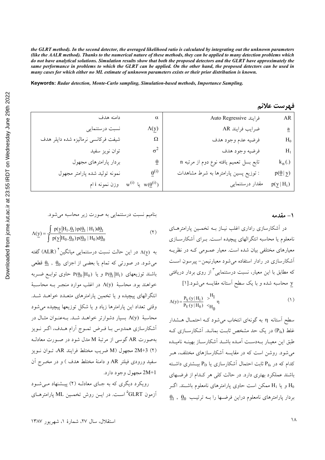the GLRT method). In the second detector, the averaged likelihood ratio is calculated by integrating out the unknown parameters (like the AALR method). Thanks to the numerical nature of these methods, they can be applied to many detection problems which do not have analytical solutions. Simulation results show that both the proposed detectors and the GLRT have approximately the same performance in problems to which the GLRT can be applied. On the other hand, the proposed detectors can be used in many cases for which either no ML estimate of unknown parameters exists or their prior distribution is known.

Keywords: Radar detection, Monte-Carlo sampling, Simulation-based methods, Importance Sampling.

| ڪيبرست حاريم                            |                                         |                                            |                                     |
|-----------------------------------------|-----------------------------------------|--------------------------------------------|-------------------------------------|
| ${\sf AR}$                              | Auto Regressive فرايند                  | $\alpha$                                   | دامنه هدف                           |
| $\underline{a}$                         | ضرايب فرايند AR                         | $\Lambda(\underline{y})$                   | نسبت درستنمایی                      |
| $\rm{H}_{0}$                            | فرضيه عدم وجود هدف                      | Ω                                          | شیفت فرکانسی نرمالیزه شده داپلر هدف |
| $H_1$                                   | فرضيه وجود هدف                          | $\sigma^2$                                 | توان نویز سفید                      |
| $k_n(.)$                                | تابع بسل تعميم يافته نوع دوم از مرتبه n | $\overline{\theta}$                        | بردار پارامترهای مجهول              |
| $p(\underline{\theta}   \underline{y})$ | : توزیع پسین پارامترها به شرط مشاهدات   | $\theta^{(i)}$                             | نمونه توليد شده پارامتر مجهول       |
| $p(\underline{y}   H_i)$                | مقدار درستنمایی                         | $w^{(i)}$ یا $w(\underline{\theta}^{(i)})$ | وزن نمونه i ام                      |
|                                         |                                         |                                            |                                     |

فمرست علا

#### ۱ – مقدمه

در آشکارسازی راداری اغلب نیـاز بــه تخمــین پارامترهــای نامعلوم یا محاسبه انتگرالهای پیچیده اسـت. بـرای آشکارســازی معیارهای مختلفی بیان شده است. معیار عمـومی کـه در نظریــه آشکارسازی در رادار استفاده می شود معیارنیمن- پیرسون است که مطابق با این معیار، نسبت درستنمایی ٌ از روی بردار دریافتی y محاسبه شده و با یک سطح استانه مقایسه میشود.[۱]

$$
\Lambda(y) = \frac{P_Y(y|H_1)}{P_Y(y|H_0)} \xrightarrow{\sim} \frac{H_1}{H_0} \eta
$$
\n(1)

سطح استانه η به گونهای انتخاب می شود کـه احتمـال هـشدار غلط (P<sub>fa</sub>) در یک حد مشخص ثابت بمانـد. آشکارسـازی کـه طبق این معییار بیهدست آمیده باشید آشکارسیاز بهینیه نامییده می شود. روشن است که در مقایسه آشکارسازهای مختلف، هـر کدام که در  $\rm P_{fa}$  ثابت احتمال آشکارسازی یا  $\rm P_{D}$  بیــشتری داشــته باشند عملکرد بهتری دارد. در حالت کلی هر کـدام از فرضـهای و یا  $\rm{H}_{1}$  ممکن است حاوی پارامترهای نامعلوم باشــند. اگــر  $\rm{H}_{0}$  $\underline{\theta}_1$  ,  $\underline{\theta}_0$  بردار یارامترهای نامعلوم دراین فرضـها را بــه ترتیـب

بنامیم نسبت درستنمایی به صورت زیر محاسبه میشود.

$$
\Lambda(\underline{y}) = \frac{\int p(\underline{y}|H_1, \underline{\theta}_1) p(\underline{\theta}_1 | H_1) d\underline{\theta}_1}{\int p(\underline{y}|H_0, \underline{\theta}_0) p(\underline{\theta}_0 | H_0) d\underline{\theta}_0}
$$
(7)

به  $\Lambda(y)$  در این حالت نسبت درستنمایی میانگین $\Lambda(y)$  گفته می شود. در صورتی که تمام یا بعضی از اجزای  $\frac{\theta_0}{2}$  ,  $\frac{\theta_0}{2}$  قطعی باشند توزیعهای  $P(\theta_0|H_0)$  و یا  $P(\theta_0|H_0)$  حاوی توابـع ضـربه خواهند بود. محاسبهٔ (۸(y در اغلب موارد منجـر بــه محاســبهٔ انتگرالهای پیچیده و یا تخمین پارامترهای متعـدد خواهـد شـد. وقتی تعداد این پارامترها زیاد و یا شکل توزیعها پیچیده می شود محاسبهٔ (۸(y بسیار دشوارتر خواهـد شـد. بـهعنـوان مثـال در أشكارسازي همدوس بـا فـرض تمـوج أرام هـدف، اگـر نـويز بهصورت AR گوسی از مرتبهٔ M مدل شود در صورت معادل (٢) 2M+3 مجهول (M ضريب مختلط فرايند AR، تـوان نـويز سفید ورودی فیلتر AR و دامنهٔ مختلط هدف ) و در مخـرج آن 2M+1 مجهول وجود دارد.

رویکرد دیگری که به جبای معادلبه (۲) پیشنهاد می شود أزمون GLRT° اســت. در ايــن روش تخمــين ML پارامترهــای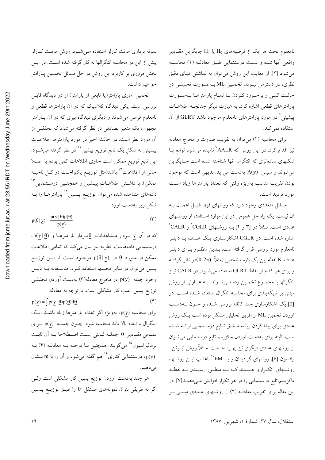نامعلوم تحت هر یک از فرضیههای H<sub>0</sub> یا H<sub>1</sub> جایگزین مقـادیر واقعی أنها شده و نسبت درستنمایی طبـق معادلـه (۱) محاسـبه می شود [۲]. از معایب این روش می توان به نداشتن مبنای دقیق نظري، در دسترس نبـودن تخمـين ML بـهصـورت تحليلـي در حالـت كلـي و برخـورد كـردن بـا تمـام پارامترهـا بـهصـورت پارامترهای قطعی اشاره کرد. به عبارت دیگر چنانچـه اطلاعـات پیشینی ٔ در مورد پارامترهای نامعلوم موجود باشد GLRT از آن استفاده نمي كند.

برای محاسبه (۲) می توان به تقریب صورت و مخرج معادله نیز اقدام کرد. در این روش که AALR<sup>۷</sup> نامیده می شود توابع بــا شکلهای ساده تری که انتگرال آنها شناخته شده است جـایگزین می شوند و سپس  $\Lambda(y)$  بهدست می آید. بدیهی است که موجود بودن تقریب مناسب بهویژه وقتی که تعداد پارامترها زیاد است مورد ترديد است.

مسائل متعددي وجود دارد كه روشهاي فوق قابـل اعمـال بـه ۔<br>آن نیست. یک راه حل عمومی در این موارد اسـتفاده از روشــهای عددی است. مـثلاً در [۳ و ۴] بــه روشــهای CALR<sup>^</sup>و CALR<sup>^</sup> اشاره شده است. در CGLR آشکارســازی یــک هــدف بــا داپلــر .<br>نامعلوم مورد بررسی قرار گرفته است. بــدین منظــور بــرای داپلــر هدف K نقطه بین یک بازه مشخص (مثلاً (0,2π)در نظر گرفتـه و برای هر کدام از نقاط GLRT استفاده می شـود. در CALR نیـز انتگرالها با مجمـوع تخمـین زده مـیشـوند. بـه عبـارتی از روش مبتنی بر شبکهبندی برای محاسبه انتگرال استفاده شــده اســت. در [۵] یک اَشکارسازی چند کاناله بررسی شـده و چــون بــهدسـت آوردن تخمین ML از طریق تحلیلی مشکل بوده است یک روش عددی برای پیدا کردن ریشه مــشتق تــابع درســتنمایی ارائــه شــده است. البته برای بهدست آوردن ماکزیمم تابع درستنمایی می تـوان از روشهای عددی دیگری نیز بهـره جــست. مـثلاً روش نیــوتن− رافسون [۶]، روشهای گرادیــان و یــا EM°' .اغلــب ایــن روشــها، روشــهای تکــراری هــستند کــه بــه منظــور رســيدن بــه نقطــه ماکزیمم،تابع درستنمایی را در هر تکرار افزایش مـی۵هنـد[۷] در این مقاله برای تقریب معادلـه (۲) از روشـهای عــددی مبتنــی بــر

نمونه برداری مونت کارلو استفاده مے شود. روش مونت کارلو پیش از این در محاسبه انتگرالها به کار گرفته شده اسـت. در ایــن بخش مروری بر کاربرد این روش در حل مسائل تخمـین پـارامتر خواهيم داشت.

تخمین آماری پارامتر(یا تابعی از پارامتر) از دو دیدگاه قابـل بررسی است. یکی دیدگاه کلاسیک که در آن پارامترها قطعی و نامعلوم فرض می شوند و دیگری دیدگاه بیزی که در آن پــارامتر مجھول، یک متغیر تصادفی در نظر گرفته می شود که تحققے از أن مورد نظر است. در حالت اخیر در مورد پارامترها اطلاعـات پیشینی به شکل یک تابع توزیع پیشین <sup>۱٬</sup> در نظر گرفته می شــود. این تابع توزیع ممکن است حاوی اطلاعات کمی بوده یا اصـلا خالبی از اطلاعات<sup>۱۲</sup> باشد(مثل توزیــع یکنواخــت در کــل ناحیــه ممكن). با داشــتن اطلاعــات پيــشين و همچنــين درســتنمايي™ دادههای مشاهده شده می توان توزیــع پــسین ٔ`` پارامترهــا را بــه شکل زیر بهدست آورد:

 $p(\underline{\theta} | \underline{y}) = \frac{p(\underline{y} | \underline{\theta})p(\underline{\theta})}{p(y)}$  $(1)$ 

 $\cdot p(y | \underline{\theta})$  در آن y بـردار مـشاهدات،  $\underline{\theta}$ بـردار پارامترهـا و  $y$ درستنمایی دادههاست. نظریه بیز بیان میکند که تمامی اطلاعات ممکن در مورد  $\theta$  در  $\theta(9|y)$  موجـود اسـت. از ايــن توزيــع پسین میتوان در سایر تحلیلها استفاده کـرد. متاسـفانه بـه دلیـل وجود جمله (p(y در مخرج معادله(۳) بهدست أوردن تحليلـي توزیع پسین اغلب کار مشکلی است. با توجه به معادله:  $p(y) = \int p(y | \underline{\theta}) p(\underline{\theta}) d\underline{\theta}$  $(\mathfrak{F})$ 

برای محاسبه (p(y، بهویژه اگر تعداد پارامترها زیاد باشـد ،یـک انتگرال با ابعاد بالا باید محاسبه شود. چـون جملــه (p(y بــرای تمـامي مقـادير في جملــه ثـابتي اسـت اصـطلاحا بــه اَن ثابـت نرمالیزاسیون<sup>۱۵</sup> میگویند. همچنین بـا توجـه بـه معادلـه (۴) بـه و از را با m نـــشایی کناری $^{16}$ هم گفته می $^2$ مود و آن را با m نــشان $\rho(\underline{y})$ مي دهيم.

هر چند بهدست آوردن توزیع پسین کار مشکلی است ولــی اگر به طریقی بتوان نمونههای مستقل  $\theta$  را طبـق توزیــع پــسین

استقلال، سال ٢٧، شمارهٔ ١، شهریور ١٣٨٧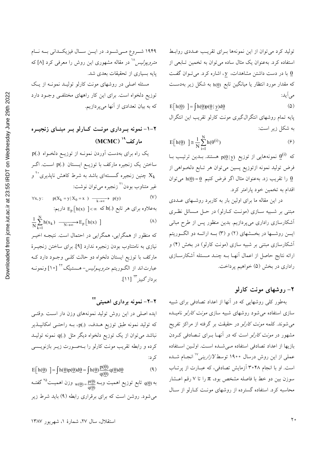توليد كرد مي توان از اين نمونهها بـراي تقريـب عــددي روابـط استفاده کرد. بهعنوان یک مثال ساده می¤وان به تخمین تــابعی از با در دست داشتن مشاهدات، y، اشاره کرد. میتوان گفت که مقدار مورد انتظار یا میانگین تابع (h(0 به شکل زیر بهدست می آید:

$$
E[h(\underline{\theta})] = \int h(\underline{\theta})p(\underline{\theta} \mid \underline{y})d\underline{\theta}
$$
\n
$$
\text{Lip} \quad \text{and} \quad \text{Lip} \quad \text{Lip} \quad \text{Lip} \quad \text{Lip} \quad \text{Lip} \quad \text{Lip} \quad \text{Lip} \quad \text{Lip} \quad \text{Lip} \quad \text{Lip} \quad \text{Lip} \quad \text{Lip} \quad \text{Lip} \quad \text{Lip} \quad \text{Lip} \quad \text{Lip} \quad \text{Lip} \quad \text{Lip} \quad \text{Lip} \quad \text{Lip} \quad \text{Lip} \quad \text{Lip} \quad \text{Lip} \quad \text{Lip} \quad \text{Lip} \quad \text{Lip} \quad \text{Lip} \quad \text{Lip} \quad \text{Lip} \quad \text{Lip} \quad \text{Lip} \quad \text{Lip} \quad \text{Lip} \quad \text{Lip} \quad \text{Lip} \quad \text{Lip} \quad \text{Lip} \quad \text{Lip} \quad \text{Lip} \quad \text{Lip} \quad \text{Lip} \quad \text{Lip} \quad \text{Lip} \quad \text{Lip} \quad \text{Lip} \quad \text{Lip} \quad \text{Lip} \quad \text{Lip} \quad \text{Lip} \quad \text{Lip} \quad \text{Lip} \quad \text{Lip} \quad \text{Lip} \quad \text{Lip} \quad \text{Lip} \quad \text{Lip} \quad \text{Lip} \quad \text{Lip} \quad \text{Lip} \quad \text{Lip} \quad \text{Lip} \quad \text{Lip} \quad \text{Lip} \quad \text{Lip} \quad \text{Lip} \quad \text{Lip} \quad \text{Lip} \quad \text{Lip} \quad \text{Lip} \quad \text{Lip} \quad \text{Lip} \quad \text{Lip} \quad \text{Lip} \quad \text{Lip} \quad \text{Lip} \quad \text{Lip} \quad \text{Lip} \quad \text{Lip} \quad \text{Lip} \quad \text{Lip} \quad \text{Lip} \quad \text{Lip} \quad \text{Lip} \quad \text{Lip} \quad \text{Lip} \quad \text{Lip} \quad \text{Lip} \quad \text
$$

$$
E[h(\underline{\theta})] \cong \frac{1}{N} \sum_{i=1}^{N} h(\theta^{(i)})
$$
\n(9)

که  $\theta^{(\mathrm{i})}$  نمونههایی از توزیع  $\mathrm{p}(\theta \, | \, \mathrm{y})$  هستند. بـدین ترتیـب بـا فرض توليد نمونه ازتوزيع پسين ميتوان هر تـابع دلخـواهي از را تقریب زد. بهعنوان مثال اگر فرض کنیم  $\underline{\theta} = (\underline{\theta})$  میتوان  $\underline{\theta}$ اقدام به تخمین خود پارامتر کرد.

در این مقاله ما برای اولین بار به کاربرد روشـهای عــددی مبتنی بر شـبیه سـازی (مونـت کـارلو) در حـل مـسائل نظـری اً شکارسازی راداری میپردازیم. بدین منظور پس از طرح مبانی ایسن روشـــها در بخـــشهای (۲) و (۳) بـــه ارائـــه دو الگـــوریتم أشكارسازى مبتنى بر شبيه سازى (مونت كارلو) در بخش (۴) و ارائه نتایج حاصل از اعمال انهـا بــه چنــد مــسئله اشکارســازی راداري در بخش (۵) خواهيم پرداخت.

### **"9 8(" - 17**

بهطور کلی روشهایی که در آنها از اعداد تصادفی برای شبیه سازی استفاده می شود روشهای شبیه سازی *مونت کارلو* نامیـده می شوند. کلمه *مونت کارلو* در حقیقت بر گرفته از مراکز تفریح مشهور در *مونت کارلو* است که در آنهـا بـرای تـصادفی کـردن بازيها از اعداد تصادفي استفاده مـي شـده اسـت. اولـين اسـتفاده عملی از این روش درسال ۱۹۰۰ توسط $Y$ *زارینی'<sup>۱۷</sup> انجــام شــد*ه است. او با انجام ۳۰۴۸ آزمایش تصادفی، که عبـارت از پرتـاب سوزن بین دو خط با فاصله مشخص بود،  $\pi$  را تا ۷ رقم اعـشار محاسبه کرد. استفاده گسترده از روشهای مونــت کــارلو از ســال

۱۹۴۹ شــروع مــیشــود. در ایـــن ســال فیزیکــدانی بــه نــام متر*وپولیس'``* در مقاله مشهوری این روش را معرفی کرد [۸] که پایه بسیاری از تحقیقات بعدی شد.

مسئله اصلی در روشهای مونت کارلو تولیـد نمونـه از یـک توزیع دلخواه است. برای این کار راههای مختلف<sub>ی</sub> وجـود دارد كه به بيان تعدادي از آنها مي پردازيم.

### **,;<( - ; ; "9 ; 8;(" -; ("( 1:17 = :> (MCMC)**

یک راه برای بهدست آوردن نمونـه از توزیـع دلخـواه (.)p ساختن یک زنجیره مارکف با توزیـع ایـستان (.)p اسـت. اگــر چنین زنجیره گسستهای باشد به شرط کاهش ناپذیری ٌ  $X_{\mathbf{k}}$ غیر متناوب بودن<sup>۲۱</sup> زنجیره میتوان نوشت:

 $\forall x, y: \quad p(X_k = y | X_0 = x) \longrightarrow y(y)$  (V) بهعلاوه برای هر تابع h(.) که  $\ln(x) < \ln(x)$  داریم:  $(\wedge)$ N  $\frac{1}{N} \sum_{k=1}^{N} h(x_k) \longrightarrow E_p[h(x)]$ که منظور از همگرایی، همگرایی در احتمال است. نتیجـه اخیــر نیازی به نامتناوب بودن زنجیره ندارد [۹]. برای ساختن زنجیـرهٔ مارکف با توزیع ایستان دلخواه دو حالت کلـی وجـود دارد کـه عبارت اند از الگــوريتم *متروپــوليس*–هــستنينگ<sup>۲۲</sup> [۱۰] ونمونــه

KD;[ B .[] **- ("( 1717 7A** &Nf8. N M<8 -6'' 1;@ n8 H &Ic J1 

که تولید نمونه طبق توزیع هــدف، p(.) بــه راحتــی امکانپــذیر نباشد میتوان از یک توزیع دلخواه دیگر مثل (.)q نمونه تولیـد كرده و رابطه تقريب مونت كارلو را بـهصـورت زيـر بازنويـسى ک د:

$$
E[h(\underline{\theta})] = \int h(\underline{\theta})p(\underline{\theta})d\underline{\theta} = \int h(\underline{\theta})\frac{p(\underline{\theta})}{q(\underline{\theta})}q(\underline{\theta})d\underline{\theta}
$$
(4)  

$$
w(\underline{\theta}) = \frac{p(\underline{\theta})}{q(\underline{\theta})} \text{ and } \text{ for } \underline{\theta} \text{ is } q(\underline{\theta})
$$

< F 1B (x) XB fB - B . H8 .&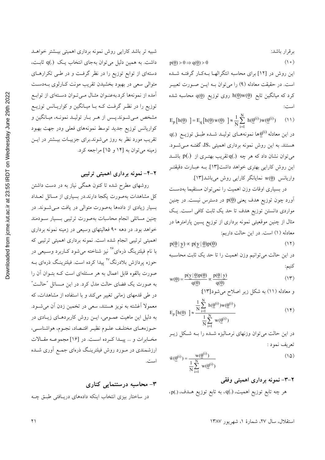بر قرار باشد:

 $p(\underline{\theta}) > 0 \Rightarrow q(\underline{\theta}) > 0$  () o)

این روش در [۱۲] برای محاسبه انتگرالهـا بــهکـار گرفتــه شــده است. در حقیقت معادله (۹) را میٍتوان بـه ایــن صــورت تعبیــر  $q(\underline{\theta}) = \frac{q(\underline{\theta})}{\pi}$ کرد که میانگین تابع  $h(\underline{\theta})w(\underline{\theta})$  روی توزیع است:

 $_{\text{p}}$ [h( $\theta$ ) ] = E<sub>q</sub>[h( $\theta$ ) w( $\theta$ ) ]  $\approx \frac{1}{N} \sum_{N=1}^{N} h(\theta^{(i)}) w(\theta^{(i)})$  (1)  $E_p[h(\underline{\theta})] = E_q[h(\underline{\theta})w(\underline{\theta})] \approx \frac{1}{N} \sum_{i=1}^{N} h(\underline{\theta}^{(i)})w(\underline{\theta}^{(i)})$  $\mathbf{q}(.)$  در این معادله  $\underline{\theta}^{(\mathbf{i})}$ ها نمونههـای تولیــد شــده طبــق توزیــع هستند. به این روش نمونه برداری اهمیتی ،IS، گفتـه مـیشـود. می توان نشان داد که هر چه (.)q تقریب بهتـری از (.)p باشـد این روش کارایی بهتری خواهد داشت[۱۳]. بــه عبــارت دقیقتــر  $\mathbf{W}(\theta)$ واریانس  $\mathbf{W}(\theta)$  نمایانگر کارایی روش میباشد[۱۳].

در بسیاری اوقات وزن اهمیت را نمی توان مستقیما بهدست  $\phi$ آورد چون توزیع هدف یعنی  $p(\theta)$  در دسترس نیست. در چنین مواردی دانستن توزیع هدف تا حد یک ثابت کاف<sub>ی</sub> اسـت. یـک مثال از چنین موقعیتی نمونه برداری از توزیع پسین پارامترها در معادله (١) است. در اين حالت داريم:

$$
p(\underline{\theta} \mid \underline{y}) \propto p(\underline{y} \mid \underline{\theta}) p(\underline{\theta}) \tag{17}
$$

در این حالت میتوانیم وزن اهمیت را تا حد یک ثابت محاسـبه كنيم:

$$
w(\underline{\theta}) = \frac{p(y | \underline{\theta})p(\underline{\theta})}{q(\underline{\theta})} \propto \frac{p(\underline{\theta} | y)}{q(\underline{\theta})}
$$
(17)

و معادله (11) به شکل زیر اصلاح میشود[۱۳]  
\n
$$
\frac{1}{N} \sum_{i=1}^{N} h(\underline{\theta}^{(i)}) w(\underline{\theta}^{(i)})
$$
 (۱۴)

$$
E_p[h(\underline{\theta})] \approx \frac{\frac{N}{N} \prod_{i=1}^{N} w(\underline{\theta}^{(i)})}{\frac{1}{N} \sum_{i=1}^{N} w(\underline{\theta}^{(i)})}
$$
(14)

در این حالت می توان وزنهای نرمـالیزه شـده را بـه شـكل زیــر تعريف نمود :

$$
\tilde{\mathbf{w}}(\underline{\theta}^{(i)}) = \frac{\mathbf{w}(\underline{\theta}^{(i)})}{\frac{1}{N} \sum_{i=1}^{N} \mathbf{w}(\underline{\theta}^{(i)})}
$$
\n(12)

**6 -("( 1B17**

 $\mathfrak{sp}(.)$  (هر چه تابع توزیع اهمیت،  $\mathfrak{q}(.)$ ، به تابع توزیع

شبیه تر باشد کارایی روش نمونه برداری اهمیتی بیـشتر خواهــد داشت. به همین دلیل می توان بهجای انتخاب یک (.)q ثابت، دستهای از توابع توزیع را در نظر گرفت و در طـی تکرارهـای متوالی سعی در بهبود بخشیدن تقریب مونت کـارلوی بــهدسـت امده از نمونهها کرد.بهعنـوان مثــال مــیتـوان دســتهای از توابــع توزیع را در نظـر گرفـت کـه بـا میـانگین و کواریـانس توزیــع مشخص مـیشـوند.پـس از هـر بـار تولیـد نمونـه، میـانگین و كواريانس توزيع جديد توسط نمونههاى فعلى ودر جهت بهبود تقریب مورد نظر به روز میشوند.برای جزییـات بیـشتر در ایـن زمینه می توان به [۱۴ و ۱۵] مراجعه کرد.

**۲–۴– ن**مونه برداری اهمیتی ترتیبی

روشهای مطرح شده تا کنون همگی نیاز به در دست داشتن كل مشاهدات بهصورت يكجا دارند.در بسياري از مسائل تعـداد بسیار زیادی از دادهها بهصورت متوال<sub>ی</sub> در یافت مــیشــوند. در چنین مسائلی انجام محاسبات بهصورت ترتیبی بسمیار سودمند خواهد بود. در دهه ۹۰ فعالیتهای وسیعی در زمینه نمونه برداری اهمیتی ترتیبی انجام شده است. نمونه برداری اهمیتی ترتیبی که با نام فیلترینگ ذرهای<sup>۲۶</sup> نیز شناخته میشود کـاربرد وسـیعی در حوزه پردازش بلادرنگ<sup>۲۷</sup> پیدا کرده است. فیلترینگ ذرهای بــه صورت بالقوه قابل اعمال به هر مسئلهای است کــه بتــوان ان را به صورت یک فضای حالت مدل کرد. در این مـسائل "حالـت" در طی قدمهای زمانی تغییر میکند و با استفاده از مشاهدات، که معمولا أغشته به نويز هستند، سعى در تخمين زدن أن مى شـود. به دلیل این ماهیت عمـومی، ایــن روش کاربردهـای زیــادی در حــوزههــاي مختلــف علــوم نظيــر اقتــصاد، نجــوم، هواشناســي، مخـابرات و ... پيــدا كـرده اســت. در [۱۶] مجموعــه مقـالات ارزشمندی در مـورد روش فیلترینـگ ذرهای جمـع اَوری شــده است.

#### ۳– محاسبه درستنمایی کناری

در ساختار بیزی انتخاب اینکه دادههای دریـافتی طبـق چـه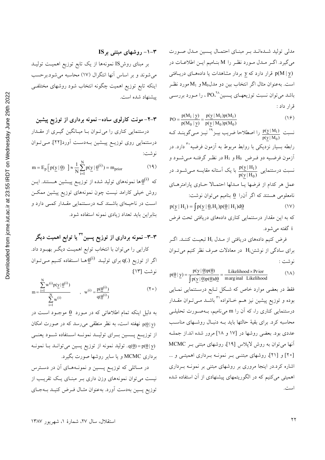مدلی تولید شــدهانــد بــر مبنــای احتمــال پــسین مــدل صــورت میگیرد. اگــر مــدل مــورد نظــر را M بنــامیم ایــن اطلاعــات در قرار دارد که  $\underline{y}$  بردار مشاهدات یا دادههـای دریــافتی  $p(M \, | \, \underline{y})$ است. به عنوان مثال اگر انتخاب بین دو مدل $\mathrm{M}_0$ و  $\mathrm{M}_1$ مورد نظـر باشد میتوان نسبت توزیعهـای پــسین^PO،' را مـورد بررســی قرار داد :

$$
PO = \frac{p(M_1 | y)}{p(M_0 | y)} = \frac{p(y | M_1)p(M_1)}{p(y | M_0)p(M_0)}
$$
(19)

نسبت <mark>(<sub>0</sub>)</mark><br>0  $p(y \mid M_1)$ را اصطلاحا ضریب بیـز<sup>۲۹</sup> نیـز مـیگوینـد کـه  $\frac{\text{p}(\text{y} \, | \, \text{M}_1)}{\text{p}(\text{y} \, | \, \text{M}_0)}$ رابطه بسیار نزدیکی با روابط مربوط به آزمون فرضیه ٔ دارد. در أزمون فرضيه دو فـرض  $\rm H_{0}$  و  $\rm H_{1}$  در نظـر گرفتـه مـىشـود و  $\frac{11}{\text{o}}$  نسبت درستنمایی با یک آستانه مقایسه مـیشــود. در  $\frac{\text{p}(\text{y} \, | \, \text{H}_1)}{\text{p}(\text{y} \, | \, \text{H}_0)}$ عمل هر كدام از فرضها يــا مــدلها احتمــالا حــاوى پارامترهــاى  $\vdots$ نامعلومی هستند که اگر آن $\theta$  بنامیم می $\ddot{\theta}$ وشت:  $p(y | H_i) = \int p(y | \underline{\theta}, H_i) p(\underline{\theta} | H_i) d\underline{\theta}$  (1V)

که به این مقدار درستنمایی کناری دادههای دریافتی تحت فرض i گفته می شود.

فرض کنیم دادههای دریافتی از مــدل  $\rm{H_{i}}$  تبعیــت کننــد. اگــر برای سادگی از نوشتن $\mathrm{H_{i}}$  در معادلات صرف نظر کنیم میتوان .<br>نوشت :

$$
p(\underline{\theta} \mid \underline{y}) = \frac{p(\underline{y} \mid \underline{\theta})p(\underline{\theta})}{\int p(\underline{y} \mid \underline{\theta})p(\underline{\theta})d\underline{\theta}} = \frac{\text{Likelihood} \times \text{Prior}}{\text{marginal Likelihood}} \tag{1A}
$$

فقط در بعضی موارد خاص که شکل تابع درستنمایی نمایی بوده و توزیع پیشین نیز هــم خــانواده``` باشــد مــیتــوان مقــدار درستنمایی کناری را، که آن را m میiامیم، بـهصـورت تحلیلـی محاسبه کرد. برای بقیهٔ حالتها باید بــه دنبــال روشــهای مناســب عددی بود. بعضی روشها در [۱۷ و ۱۸] مرور شده اند.از جملـه آنها میتوان به روش لاپلاس [۱۹]، روشهای مبتنی بـر MCMC [۲۰] و [۲۱]، روشهای مبتنـی بـر نمونــه بـرداری اهمیتــی و … اشاره کرد.در اینجا مروری بر روشهای مبتنی بر نمونـه بـرداری اهمیتی میکنیم که در الگوریتمهای پیشنهادی از آن استفاده شده است.

$$
\text{IS}_{\mathcal{F}} \text{ ...}
$$

بر مبنای روشIS نمونهها از یک تابع توزیع اهمیت تولیـد میشوند و بر اساس انها انتگرال (۱۷) محاسبه میشود.برحسب اینکه تابع توزیع اهمیت چگونه انتخاب شود روشهای مختلفـی پیشنهاد شده است.

#### **D'E FC ") - ("( 1, -"9 8(" 171B**

درستنمایی کناری را میتوان با میانگین گیـری از مقـدار درستنمایی روی توزیـع پیــشین بــهدســت آورد[۲۲]. مــیتــوان نو شت:

$$
m = E_p \left[ p(\underline{y} | \underline{\theta}) \right] \approx \frac{1}{N} \sum_{i=1}^{N} p(\underline{y} | \underline{\theta}^{(i)}) = m_{prior}
$$
 (14)

که  $\underline{\theta}^{(i)}$  که  $\underline{\theta}^{(i)}$  ما نمونههای تولید شده از توزیـع پیـــشین هـــستند. ایــن روش خیلی کارامد نیست چون نمونههای توزیع پیشین ممکــن است در ناحیــهای باشــند کــه درســتنمایی مقــدار کمــی دارد و بنابراین باید تعداد زیادی نمونه استفاده شود.

## **DGE FC ") - ("( 1B1B B7 -C 8 F") C** کارایی را میتوان با انتخاب توابع اهمیـت دیگـر بهبـود داد. اگر از توزیع  $\mathrm{q}(\.)$  برای تولیــد  $\underline{\theta}^{(\mathrm{i})}$ هــا اســتفاده کنــیم مــیتــوان نوشت [١٣]:

$$
m = \frac{\sum_{i=1}^{N} w^{(i)} p(\underline{y} | \underline{\theta}^{(i)})}{\sum_{i=1}^{N} w^{(i)}}
$$
, 
$$
w^{(i)} = \frac{p(\underline{\theta}^{(i)})}{q(\underline{\theta}^{(i)})}
$$
 (7 •)

به دلیل اینکه تمام اطلاعاتی که در مـورد  $\theta$  موجـود اسـت در نهفته است، به نظر منطقی می رسد که در صورت امکان p(0 y) از توزیـــع پـــسین بـــرای تولیـــد نمونـــه اســـتفاده شـــود یعنـــی وليد نمونه از توزيع پسين ميتوانـد بـا نمونـه ( $\mathbf{q}(\underline{\theta}) = \mathbf{p}(\underline{\theta} \,|\, \mathbf{y})$ برداری MCMC و یا سایر روشها صورت بگیرد.

در مسائلی که توزیـع پـسین و نمونـههـای آن در دسـترس نیست می توان نمونههای وزن داری بـر مبنـای یـک تقریـب از توزیع پسین بهدست اورد. بهعنوان مثــال فــرض کنیــد بــهجــای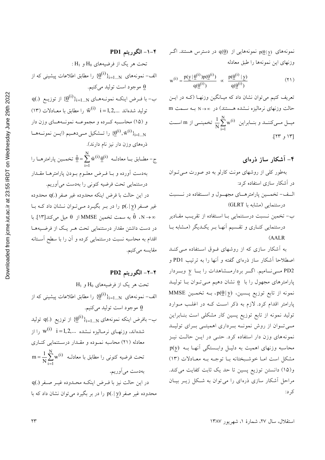نمونههای  $p(\underline{\theta}|y)$  نمونههایی از  $q(\underline{\theta})$  در دسترس هستند. اگـر وزنهاى اين نمونهها را طبق معادله

$$
w^{(i)} = \frac{p(y | \underline{\theta}^{(i)}) p(\underline{\theta}^{(i)})}{q(\underline{\theta}^{(i)})} \propto \frac{p(\underline{\theta}^{(i)} | y)}{q(\underline{\theta}^{(i)})}
$$
(1)

تعریف کنیم می توان نشان داد که میـانگین وزنهـا (کـه در ایـن حالت وزنهای نرمالیزه نـشده هـستند) در ∞→ N بـه سـمت m میــل مــیکننــد و بنــابراین  $\frac{1}{N}\sum\limits_{i=1}^{N}w^{(i)}$  تخمینـــی از m اســت [١٣ و ٢٣].

### ۴– آشکار ساز ذرهای

بهطور کلی از روشهای مونت کارلو به دو صورت می توان در آشکار سازی استفاده کرد:

- الــف- تخمـــين پارامترهـــاي مجهــول و اســـتفاده در نـــ درستنمایی (مشابه با GLRT)
- ب- تخمین نسبت درستنمایی بـا اسـتفاده از تقریـب مقـادیر درستنمایی کنـاری و تقـسیم آنهـا بـر یکـدیگر (مـشابه بـا  $(AALR)$

به آشکار سازی که از روشهای فوق استفاده مبی کنـد اصطلاحاً آشکار ساز ذرهای گفته و آنها را به ترتیب PD1 و PD2 مسی نامیم. اگر بردارمشاهدات را با y وبردار پارامترهای مجهول را با e نشان دهیم مـی تـوان بـا تولیـد MMSE نمونه از تابع توزیع پسین،  $p(\underline{\theta}|y)$ ، بــه تخمــین پارامتر اقدام کرد. لازم به ذکر است کـه در اغلـب مـوارد تولید نمونه از تابع توزیع پسین کار مشکلی است بنـابراین مےتوان از روش نمونـه بـرداری اهمیتـی بـرای تولیـد نمونههای وزن دار استفاده کرد. حتمی در ایس حالت نیز محاسبه وزنهای اهمیت به دلیـل وابـستگی آنهـا بـه (p(y مشکل است امـا خوشـبختانه بـا توجـه بـه معـادلات (١٣) و(١٥) دانستن توزيع پسين تا حد يک ثابت كفايت مي كند. مراحل آشکار سازی ذرهای را می توان به شکل زیـر بیـان کر د:

تحت هر یک از فرضیەهای H<sub>0</sub> U<sub>0</sub>  
\nالف– نمونەلای سد.ا=1...N  
\nالف– نمونەلای میتیب.  
\nQ مجود است تولید میکنیم.  
\nQ (0. ) مجود است تولید میکنیم.  
\nQ (1) ماحاسیه نمونەمای را(1<sup>1</sup>)<sub>i=1....N</sub>  
\n= 1,2,... 
$$
\tilde{w}^{(i)}
$$
 i = 1,2,...  $\tilde{w}^{(i)}$  i = 1,2,...  
\n(10) ماحاسیه کرده و مجموعه نمونههای وزن دار  
\n(11) ماحاسیه کرده و مجموعه نمونههای وزن دار  
\n10 (10) ماحاسیه کرده و با نیز نام دارند).  
\n5- مطابق با معادطه (1) 4 (1) 4  
\n5- مطابق با معادطه و 1.1 نرض معلوم بودن پارامترها مقدار  
\n10- معدوده و با فرض یانکه محروده غیر صفر (.) 4 معدوده  
\n21- مطابو  
\n22- مغیر صفر (1) 4 ( در بیر بگیرد می توان نشان داد که با  
\n32- محر (1) 1 - 1 ( در بیر بگیرد می تولان نشان داد که با  
\n33- محر (1) - 1 ( در بیر بگیرد می تولان نشان داد که با  
\n34- مطابسی تخصیٔ تخمین کرده و آن را با سطح آستانه  
\n10- ملام ماحاببه نشت نمستیهی کرده و آن را با سطح آستانه  
\n10- ماحابم مکندا 11]. با  
\n31- مطابم ملاسیه یکنیم.  
\n11- میکنیم.

۴–۲– الگوريتم PD2

۴–۱– الگوریتم PD1

تحت هر یک از فرضیههای 40 و 41  
الف – نمونههای ۱<sub>11=1...N</sub>  
\nاف – نمونههای موجود است تولید میکنیم.  
\n9 موجود است تولید میکنیم.  
\n– بافرض اینکه نمونههای ۱<sub>11-1</sub>...N  
\nتیدماند، وزنهای نرمالیزه نشده ...  
\n
$$
w^{(i)} \quad i = 1, 2, \ldots
$$
\n
$$
w^{(i)} \quad i = 1, 2, \ldots
$$
\n
$$
w^{(i)} \quad i = 1, 2, \ldots
$$
\n
$$
w^{(i)} \quad i = 1, 2, \ldots
$$
\n
$$
w^{(i)} \quad i = 1, 2, \ldots
$$
\n
$$
w^{(i)} \quad i = 1, 2, \ldots
$$
\n
$$
w^{(i)} \quad i = 1, 2, \ldots
$$
\n
$$
w^{(i)} \quad i = 1, 2, \ldots
$$
\n
$$
w^{(i)} \quad i = 1, 2, \ldots
$$
\n
$$
w^{(i)} \quad i = 1, 2, \ldots
$$
\n
$$
w^{(i)} \quad i = 1, 2, \ldots
$$
\n
$$
w^{(i)} \quad i = 1, 2, \ldots
$$
\n
$$
w^{(i)} \quad i = 1, 2, \ldots
$$
\n
$$
w^{(i)} \quad i = 1, 2, \ldots
$$
\n
$$
w^{(i)} \quad i = 1, 2, \ldots
$$
\n
$$
w^{(i)} \quad i = 1, 2, \ldots
$$
\n
$$
w^{(i)} \quad i = 1, 2, \ldots
$$
\n
$$
w^{(i)} \quad i = 1, 2, \ldots
$$
\n
$$
w^{(i)} \quad i = 1, 2, \ldots
$$
\n
$$
w^{(i)} \quad i = 1, 2, \ldots
$$
\n
$$
w^{(i)} \quad i = 1, 2, \ldots
$$
\n
$$
w^{(i)} \quad i = 1, 2, \ldots
$$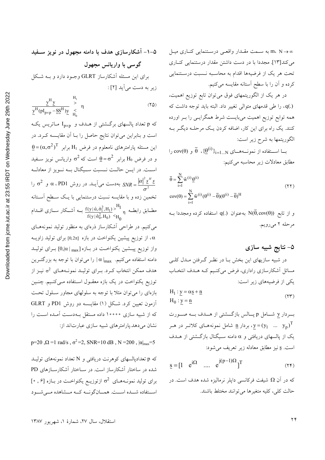(.)q، را طی قدمهای متوالی تغییر داد. البته باید توجه داشت که همه توابع توزیع اهمیت میبایست شرط همگرایــی را بــر اورده کنند. یک راه برای این کار، اضافه کردن یـک مرحلـه دیگـر بـه الگوریتمها به شرح زیر است:

با استفاده از نمونــههــای  $\overline{\theta}$  ، { $\underline{\theta}^{(i)}\}_{i=1...N}$  و  $\overline{\theta}$  را مطابق معادلات زیر محاسبه میکنیم:

$$
\overline{\theta} = \sum_{i=1}^{N} \tilde{w}^{(i)} \underline{\theta}^{(i)}
$$
  
\n
$$
cov(\theta) = \sum_{i=1}^{N} \tilde{w}^{(i)} (\theta^{(i)} - \overline{\theta}) (\theta^{(i)} - \overline{\theta})^H
$$
\n(11)

و از تابع  $\overline{\theta}, \operatorname{cov}(\widehat{\theta})$  به عنوان  $q(.)$  استفاده کرده ومجددا بــه مرحله ۲ مىرويم.

#### ۵– نتایج شبیه سازی

در شبیه سازیهای این بخش بـا در نظـر گـرفتن مـدل کلـی مسائل آشکارسازی راداری، فرض میکنیم کـه هــدف انتخــاب یکی از فرضیههای زیر است:

$$
H_1: \underline{y} = \alpha \underline{s} + \underline{n}
$$
  
\n
$$
H_0: \underline{y} = \underline{n}
$$
 (YY)

بردار y شـامل p پــالس بازگــشتى از هــدف بــه صــورت بردار  $\underline{\textbf{n}}$  شامل نمونههـای کلاتـر در هـر  $\textbf{y} = (y_1 - ... - y_n)^T$ یک از پالسهای دریافتی و α دامنه سـیگنال بازگـشتی از هــدف است. <u>s</u> نيز مطابق معادله زير تعريف مي شود:

$$
\underline{\mathbf{s}} = [1 \quad \mathbf{e}^{\mathbf{i}\Omega} \quad \dots \quad \mathbf{e}^{\mathbf{j}(p-1)\Omega}]^T
$$
 (15)

که در آن Ω شیفت فرکانسی داپلر نرمالیزه شده هدف است. در حالت كلي، كليه متغيرها مي توانند مختلط باشند.

$$
\frac{\underline{y}^{H}\underline{y}}{\underline{y}^{H}(pI_{p\times p}-\underline{SS}^{H})\underline{y}}\underset{H_{0}}{\overset{H_{1}}{\geq}}\eta
$$
\n
$$
(7\Delta)
$$

که p تعداد پالسهای برگشتی از هـدف و  $\rm I_{p\times p}$  مـاتریس یک است و بنابراین میتوان نتایج حاصل را بـا آن مقایـسه کـرد. در  $\underline{\theta}$ این مسئله پارامترهای نامعلوم در فرض  $\mathrm{H}_{1}$  برابر  $\overline{\mathrm{H}}_{2}$ و در فرض  $\rm H_0$  برابر  $\rm \theta = \sigma^2$  است که  $\rm \sigma^2$  واریانس نویز سـفید اســت. در ايــن حالــت نــسبت ســيگنال بــه نــويز از معادلــه به دست می آیــد. در روش  $\alpha$  ، PD1 و  $SNR = \frac{|\alpha|^2 s^H s}{2}$ تخمین زده و با مقایسه نسبت درستنمایی با یـک سـطح آسـتانه مطــابق رابطــه  $\frac{H_1}{\pi} \times \frac{f(y | \hat{\alpha}, \hat{\sigma}_1^2, H_1)}{f(y | \hat{\sigma}_0^2, H_0)} > \frac{H_1}{H_0}$ بــه اَشـــکار ســـازی اقـــدام می کنیم. در طراحی آشکارساز ذرهای به منظور تولید نمونههـای از توزیع پیشین یکنواخت در بازه  $[0,2\pi]$  برای تولید زاویــه ، $\alpha$ واز توزیع پیــشین یکنواخــت در بــازه [ $\alpha \mid_{\max}$ ] بــرای تولیــد دامنه استفاده میکنیم.  $\alpha\,|_{\max} \,$  را میتوان با توجه به بزرگتـرین هدف ممکن انتخاب کـرد. بـرای تولیـد نمونـههـای  $\sigma^2$  نیـز از توزیع یکنواخت در یک بازه معقـول اسـتفاده مـیکنـیم. چنـین بازهای را میتوان مثلاً با توجه به سلولهای مجاور سلول تحت آزمون تعیین کرد. شکل (۱) مقایسه دو روش PD1 و GLRT که از شبیه سازی ۱۰۰۰۰ داده مستقل بـهدسـت آمـده اسـت را نشان می دهد.یارامترهای شبیه سازی عبارتاند از:

p=20,  $\Omega$  =1 rad/s,  $\sigma^2$  =2, SNR=10 dB, N =200,  $|\alpha|_{max}$ =5

که p تعدادپالسهای کوهرنت دریافتی و N تعداد نمونههای تولیـد شده در ساختار آشکارساز است. در سـاختار آشکارسـازهای PD  $[\cdot\ , \theta]$ برای تولید نمونههای  $\sigma^2$  ازتوزیـع یکنواخـت در بازه [۶,  $\cdot$ ] استفاده شـده اسـت. همـانگونــه كــه مــشاهده مــى شــود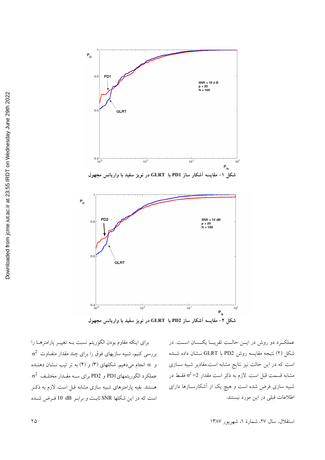

عملکـرد دو روش در ايــن حالــت تقريبــا يکــسان اســت. در شکل (۲) نتیجه مقایسه روش PD2 با GLRT نــشان داده شــده است که در این حالت نیز نتایج مشابه است.مقادیر شبیه ســازی مشابه قسمت قبل است. لازم به ذکر است مقدار 2= $\sigma^2$  فقـط در شبیه سازی فرض شده است و هیچ یک از آشکارســازها دارای اطلاعات قبلي در اين مورد نيستند.

برای اینکه مقاوم بودن الگوریتم نسبت بـه تغییـر پارامترهـا را  $\sigma^2$  بررسی کنیم، شبیه سازیهای فوق را برای چند مقدار متفـاوت  $\sigma^2$ و @ انجام میدهیم. شکلهای (۳) و (۴) به تر تیب نــشان دهنــده  $\sigma^2$  عملكرد الگوريتمهايPD1 و PD2 براي سـه مقـدار مختلـف هستند. بقیه پارامترهای شبیه سازی مشابه قبل است. لازم به ذکـر است كه در اين شكلها SNR ثابت و برابـر dB 10 فـرض شـده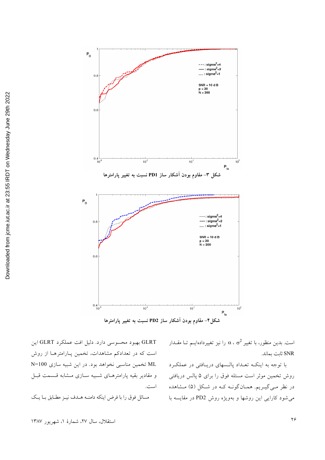

شکل۴– مقاوم بودن آشکار ساز PD2 نسبت به تغییر پارامترها

است. بدین منظور، با تغییر  $\alpha$  ،  $\sigma^2$  ) است. بدین منظور، با تغییر  $\alpha$ SNR ثابت بماند.

با توجه به اینکـه تعـداد یالـسهای دریـافتی در عملکـرد روش تخمین موثر است مسئله فوق را برای ۵ پالس دریافتی در نظر می گیـریم. همـانگونــه کــه در شـکل (۵) مـشاهده می شود کارایی این روشها و بهویژه روش PD2 در مقایسه با

GLRT بهبود محسوسی دارد. دلیل افت عملکرد GLRT این است که در تعدادکم مشاهدات، تخمین پـارامترهـا از روش N=100 تخمین مناسبی نخواهد بود. در این شبیه سازی N=100 و مقادير بقيه يارامترهـاي شـبيه سـازي مـشابه قـسمت قبـل است.

مسائل فوق را با فرض اينكه دامنـه هــدف نيـز مطـابق بـا يـك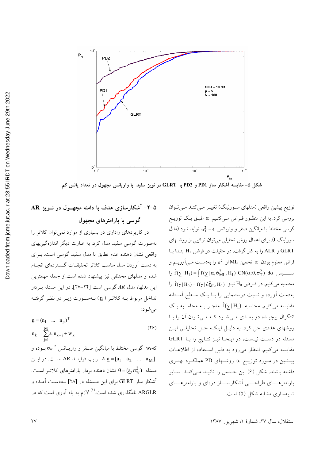

شکل ۵– مقایسه آشکار ساز PD1 و PD2 با GLRT در نویز سفید با واریانس مجهول در تعداد پالس کم

توزیع پیشین واقعی (مدلهای سـورلینگ) تغییـر مـی کنـد مـی تـوان بررسی کرد. به این منظـور فـرض مـیکنـیم a طبـق یـک توزیـع گوسی مختلط با میانگین صفر و واریانس 4= $\sigma_{\rm T}^2 = \sigma_{\rm T}^2$  تولید شود (مدل سورلینگ I). برای اعمال روش تحلیلی می توان ترکیبی از روشـهای GLRT و ALR را به كار گرفت. در حقيقت در فرض H<sub>1</sub> ابتـدا بـا فرض معلوم بودن  $\alpha$  تخمین ML از  $\sigma^2$  را بهدسـت مـی اَوریــم و  $\hat{f}(y|H_1) = \int f(y|\alpha, \hat{\sigma}_{ML}^2, H_1) \ CN(\alpha; 0, \sigma_T^2) d\alpha$  ســـــــــپس را  $\hat{f}(y|H_0) = f(y|\hat{\sigma}_{ML}^2, H_0)$  محاسبه می کنیم. در فــرض H<sub>0</sub> نیــز بهدست آورده و نسبت درستنمایی را بـا یـک سـطح آسـتانه مقایسه میکنیم. محاسبه  $\hat{f}(y|H_1)$  منجـر بــه محاسـبه یـک انتگرال پیچیـده دو بعـدی مـی شـود کـه مـی تـوان آن را بـا روشهای عددی حل کرد. به دلیـل اینکـه حـل تحلیلـی ایـن مسئله در دست نیست، در اینجا نیـز نتـایج را بـا GLRT مقایسه می کنیم. انتظار می رود به دلیل استفاده از اطلاعات پیـشین در مــورد توزیــع α روشــهای PD عملکــرد بهتــری داشته باشند. شکل (۶) این حـدس را تائیـد مـی کنـد. سـایر یارامتر هـــای طراحــــی آشکارســـاز ذرهای و یارامتر هــــای شبیهسازی مشابه شکل (۵) است.

۵–۲– اَشکارسازی هدف با دامنه مجهــول در نــویز AR گوسی با پارامترهای مجهول

در کاربردهای راداری در بسیاری از موارد نمی توان کلاتر را بهصورت گوسی سفید مدل کرد. به عبارت دیگر اندازهگیریهای واقعی نشان دهنده عدم تطابق با مدل سفید گوسی است. بـرای به دست آوردن مدل مناسب كلاتر تحقيقــات گــستر دهاي انجــام شده و مدلهای مختلفی نیز پیشنهاد شده است.از جمله مهمترین این مدلها، مدل AR گوسی است [۲۴–۲۷]. در این مسئله به دار تداخل مربوط بــه كلاتــر ( <u>n</u>) بــهصــورت زيــر در نظــر گرفتــه مي شو د:

| $\underline{n} = (n_1 \dots n_p)^T$     |      |
|-----------------------------------------|------|
|                                         | (79) |
| $n_k = \sum a_j n_{k-j} + w_k$<br>$i=1$ |      |

که $\sigma_{\rm w}$  گوسی مختلط با میانگین صـفر و واریــانس  $\sigma_{\rm w}$  بــوده و ف بن a=[a<sub>1</sub> a<sub>2</sub> ... a<sub>M</sub>] ضـرايب فراينــد AR اسـت. در ايــن مسئله  $\theta\!=\!(\underline{a},\sigma_{\rm w}^2)$  نشان دهنده بردار پارامترهای کلاتـر اسـت. آشکار ساز GLRT برای این مسئله در [۲۸] بـهدسـت آمـده و ARGLR نامگذاری شده است.<sup>(۱)</sup> لازم به یاد آوری است که در

استقلال، سال ٢٧، شمارهٔ ١، شهریور ١٣٨٧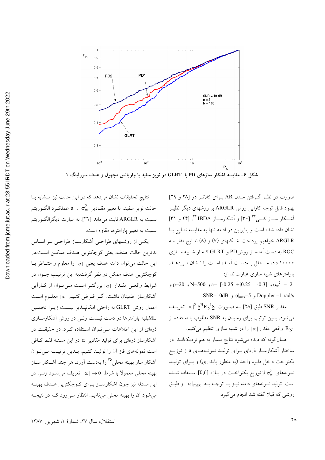

شکل ۶– مقایسه آشکار سازهای PD با GLRT در نویز سفید با واریانس مجهول و هدف سورلینگ ۱

صورت در نظر گرفتن مـدل AR بـرای کلاتـر در [۲۸ و ۲۹] بهبود قابل توجه کارایی روش ARGLR بر روشهای دیگر نظیـر آشکار ســاز کلــي ٣ [٣٠] و آشکارســاز IBDA '''، [٢٢ و ٣١] نشان داده شده است و بنابراین در ادامه تنها به مقایسه نتـایج بـا ARGLR خواهیم پرداخت. شکلهای (۷) و (۸) نتـایج مقایـسه ROC به دست آمده از روشPD و GLRT کـه از شـبیه ســازی ۱۰۰۰۰ داده مستقل بهدست آمـده اسـت را نـشان مـىدهـد. یارامتر های شبیه سازی عبارتاند از:

و N=500 و  $\frac{a}{2}$  -0.25 +j0.25 -0.3] و N=500 و 90=N SNR=10dB و  $|\alpha|_{max} = 5$  و Doppler =1 rad/s

مقدار SNR طبق [۲۸] بــه صــورت  $\frac{S^H R_N^{-1} S}{N} \propto |\alpha|^2 \frac{S^H R_N^{-1} S}{N}$ می شود. بدین ترتیب برای رسیدن به SNR مطلوب با استفاده از واقعی مقدار  $|\alpha\,|$  را در شبیه سازی تنظیم میکنیم.  $R_{\rm N}$ 

همانگونه که دیده میشود نتایج بسیار به هم نزدیکانــد. در ساختار آشکارسـاز ذرهای بــرای تولیــد نمونــههــای <u>a</u> از توزیــع یکنواخت داخل دایره واحد (به منظور پایداری) و بـرای تولیـد نمونههای  $_{\rm w}$  ازتوزیع یکنواخـت در بـازه [0٫6] اسـتفاده شــده است. تولید نمونههای دامنه نیـز بـا توجـه بـه  $\alpha \mid_{\max}$  و طبـق روشی که قبلا گفته شد انجام می گیرد.

نتایج تحقیقات نشان میدهد که در این حالت نیز مشابه با حالت نويز سفيد، با تغيير مقــادير  $\sigma_{\rm w}^2$  , ه عملكــرد الگــوريتم نسبت به ARGLR ثابت میٍ ماند [۳۲]. به عبارت دیگرالگوریتم نسبت به تغییر پارامترها مقاوم است.

یکی از روشهای طراحی آشکارساز طراحی بر اساس بدترين حالت هدف، يعني كوچكترين هـدف ممكـن اسـت.در این حالت می توان دامنه هدف یعنی |۵| را معلوم و متنــاظر بــا کوچکترین هدف ممکن در نظر گرفت.به این ترتیب چــون در شرایط واقعبی مقـدار ۱۵۱ بزرگتـر اسـت مـی تـوان از کـاراَیی أشكارساز اطمينان داشت. اگـر فـرض كنـيم |a| معلـوم اسـت اعمال روش GLRT به راحتی امکانپـذیر نیـست زیـرا تخمـین MLبقیه یارامترها در دست نیست ولـی در روش آشکارسـازی ذرهای از این اطلاعات مے توان استفاده کرد. در حقیقت در آشکارساز ذرهای برای تولید مقادیر α در این مسئله فقط کـافی است نمونههای فاز آن را تولیـد کنـیم. بـدین ترتیـب مـیتـوان اَشکار ساز بهینه محلی°<sup>۳</sup> را بهدست اَورد. هر چند اَشـکار ســاز بهينه محلي معمولاً با شرط  $\alpha \mid 0 \rightarrow \infty$  تعريف مي شـود ولـي در این مسئله نیز چون آشکارسـاز بـرای کـوچکترین هـدف بهینـه می شود آن را بهینه محلی می نامیم. انتظار مـی رود کـه در نتیجـه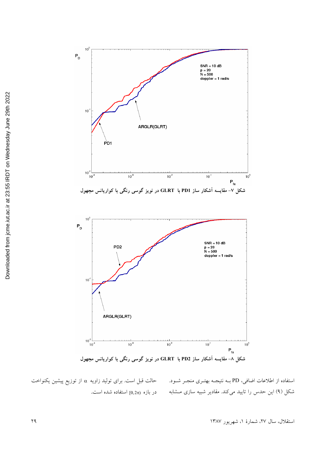

شکل ۸– مقایسه اشکار ساز PD2 با GLRT در نویز گوسی رنگی با کواریانس مجهول

استفاده از اطلاعات اضافی، PD بــه نتیجــه بهتــری منجــر شــود. شکل (۹) این حدس را تایید میکند. مقادیر شبیه سازی مـشابه حالت قبل است. برای تولید زاویه  $\alpha$  از توزیع پیشین یکنواخت در بازه (0,2π استفاده شده است.

استقلال، سال ۲۷، شمارهٔ ۱، شهریور ۱۳۸۷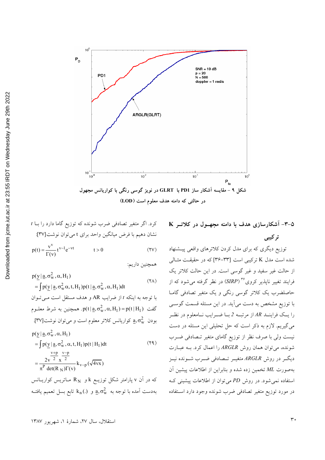

$$
p(t) = \frac{v^{v}}{\Gamma(v)} t^{v-1} e^{-vt} \qquad t > 0 \qquad (TV)
$$

همچنین داریم:

$$
p(y | a, \sigma_w^2, \alpha, H_1)
$$
\n
$$
= \int p(y | a, \sigma_w^2 \alpha, t, H_1) p(t | a, \sigma_w^2, \alpha, H_1) dt
$$
\n
$$
= \int p(y | a, \sigma_w^2 \alpha, t, H_1) p(t | a, \sigma_w^2, \alpha, H_1) dt
$$
\n
$$
= \int p(x | a, \sigma_w^2, \alpha, H_1) dt
$$
\n
$$
= \int p(t | H_1) dt
$$
\n
$$
= \int p(y | a, \sigma_w^2, \alpha, H_1) dt
$$
\n
$$
= \int p(y | a, \sigma_w^2, \alpha, t, H_1) p(t | H_1) dt
$$
\n
$$
= \int p(y | a, \sigma_w^2, \alpha, t, H_1) p(t | H_1) dt
$$
\n
$$
= \int p(y | a, \sigma_w^2, \alpha, t, H_1) p(t | H_1) dt
$$
\n
$$
= \frac{2v^{-2}}{2} \frac{v^{-p}}{x^2} k_{v-p} (\sqrt{4vx})
$$

که در آن v پارامتر شکل توزیــع k و  $\rm R_N$  مــاتریس کواریــانس بهدست آمده با توجه به  $\mathrm{a, \sigma_{w}^{2}}$  و  $\mathrm{k_{n} (.)}$  تابع بسل تعميم يافتـه ۵-۳- آشکارسازی هدف با دامنه مجهـول در کلاتـر K

تر کیبی

توزیع دیگری که برای مدل کردن کلاترهای واقعی پیشنهاد شده است مدل K ترکیبی است [۳۳-۳۴] که در حقیقت مثـالی از حالت غیر سفید و غیر گوسی است. در این حالت کلاتر یک فرایند تغییر ناپذیر کروی°<sup>۳ (</sup>SIRP) در نظر گرفته میشود که از حاصلضرب یک کلاتر گوسی رنگی و یک متغیر تصادفی گامـا با توزیع مشخص به دست می آید. در این مسئله قسمت گوســی را یـک فراینــد AR از مرتبــه 2 بــا ضــرایب نــامعلوم در نظــر می گیریم. لازم به ذکر است که حل تحلیلی این مسئله در دست نیست ولی با صرف نظر از توزیع گامای متغیر تـصادفی ضـرب شونده، می توان همان روش ARGLR را اعمال کرد. بـه عبـارت دیگـر در روش ARGLR متغیــر تــصادفی ضــرب شــونده نیــز بهصورت ML تخمین زده شده و بنابراین از اطلاعات پیشین آن استفاده نمی شود. در روش PD می توان از اطلاعات پیشینی ک در مورد توزیع متغیر تصادفی ضرب شونده وجود دارد استفاده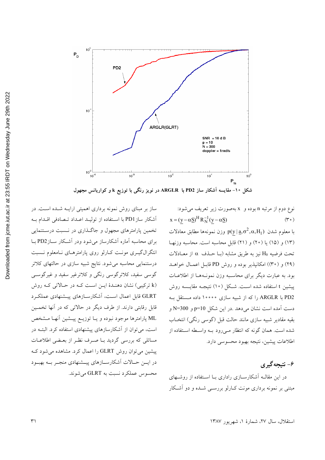

نوع دوم از مرتبه n بوده و x بهصورت زير تعريف مي شود:  $x = (y - \alpha S)^H R_N^{-1} (y - \alpha S)$  $(\mathfrak{r} \circ)$ با معلوم شدن  $p(y | \underline{a}, \sigma^2, \alpha, H_1)$  وزن نمونهها مطابق معادلات (١٣) و (١٥) يا (٢٠) و (٢١) قابل محاسبه است. محاسبه وزنهـا تحت فرضيه H0 نيز به طريق مشابه (بـا حــذف  $\alpha$  از معــادلات (٢٩) و (٣٠)) امكانپذير بوده و روش PD قابـل اعمـال خواهـد بود. به عبارت دیگر برای محاسبه وزن نمونـههـا از اطلاعـات ييشين t استفاده شده اسـت. شـكل (١٠) نتيجـه مقايـسه روش PD2 با ARGLR را كه از شبيه سازى ١٠٠٠٠ داده مستقل بـه دست آمده است نشان می دهد .در این شکل p=10 و N=300 و بقيه مقادير شبيه سازي مانند حالت قبل (گوسي رنگي) انتخـاب شده است. همان گونه که انتظار مـیرود بـه واسـطه اسـتفاده از اطلاعات پیشین، نتیجه بهبود محسوسی دارد.

۶- نتيجه گيري

در این مقالـه آشکارسـازی راداری بـا اسـتفاده از روشـهای مبتنی بر نمونه برداری مونت کـارلو بررســی شــده و دو آشـکار

ساز بر مبنای روش نمونه برداری اهمیتی ارایـه شـده اسـت. در آشکار ساز PD1 با استفاده از تولیـد اعـداد تـصادفی اقـدام بـه تخمین پارامترهای مجهول و جاگـذاری در نـسبت درسـتنمایی برای محاسبه آماره آشکارساز می شود ودر آشکار ســازPD2 بــا انتگرالگیـری مونـت کـارلو روی پارامترهـای نـامعلوم نـسبت درستنمایی محاسبه میشود. نتایج شبیه سازی در حالتهای کلاتر گوسی سفید، کلاترگوسی رنگی و کلاترغیر سفید و غیرگوســی (k ترکیبی) نشان دهنـدهٔ ایــن اسـت کــه در حـالاتی کــه روش GLRT قابل اعمال است، آشكارسـازهاى ييـشنهادى عملكـرد قابل رقابتی دارند. از طرف دیگر در حالاتی که در آنها تخمــین ML پارامترها موجود نبوده و یـا توزیــع پیــشین آنهـا مــشخص است، می توان از آشکارسازهای پیشنهادی استفاده کرد. البتـه در مسائلی که بررسی گردید بـا صـرف نظـر از بعـضی اطلاعـات پیشین می توان روش GLRT را اعمال کرد. مشاهده می شود ک در ایس حـالات آشکارســازهای پیــشنهادی منجــر بــه بهبــود محسوس عملکرد نسبت به GLRT می شوند.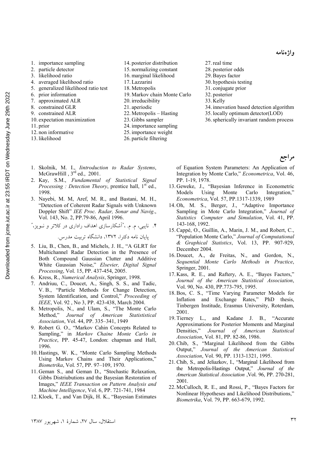مراجع

- 1. importance sampling
- 2. particle detector
- 3. likelihood ratio
- 4. averaged likelihood ratio
- 5. generalized likelihood ratio test
- 6. prior information
- 7. approximated ALR
- 8. constrained GLR
- 9. constrained ALR
- 10. expectation maximization
- 11. prior
- 12. non informative
- 
- 13. likelihood
- 14. posterior distribution
- 15. normalizing constant
- 16. marginal likelihood 17. Lazzarini
- 
- 18. Metropolis
- 19. Markov chain Monte Carlo
- 20. irreducibility 21. aperiodic
- 
- 22. Metropolis Hasting
- 23. Gibbs sampler
- 24. importance sampling
- 25. importance weight
- 26. particle filtering
- 27.real time
- 28. posterior odds
- 29.Bayes factor
- 30. hypothesis testing
- 31. conjugate prior
- 32. posterior
- 33. Kelly
- 34. innovation based detection algorithm
- 35. locally optimum detector(LOD)
- 36.spherically invariant random process

- 1. Skolnik, M. I., *Iintroduction to Radar Systems*, McGrawHill,  $3<sup>rd</sup>$  ed., 2001.
- 2. Kay, S.M., *Fundamental of Statistical Signal Processing : Detection Theory*, prentice hall, 1<sup>st</sup> ed., 1998.
- 3. Nayebi, M. M, Aref, M. R., and Bastani, M. H., "Detection of Coherent Radar Signals with Unknown Doppler Shift" *IEE Proc. Radar, Sonar and Navig*., Vol. 143, No. 2, PP.79-86, April 1996.

۴. نایبی، م. م. ،"آشکارسازی اهداف راداری در کلاتر و نــویز،"

پایان نامه دکترا، ۱۳۷۲، دانشگاه تربیت مدرس.

- 5. Liu, B., Chen, B., and Michels, J. H., "A GLRT for Multichannel Radar Detection in the Presence of Both Compound Gaussian Clutter and Additive White Gaussian Noise," *Elsevier, Digital Signal Processing*, Vol. 15, PP. 437-454, 2005.
- 6. Kress, R., *Numerical Analysis*, Springer, 1998.
- 7. Andriuu, C., Doucet, A., Singh, S. S., and Tadic, V. B., "Particle Methods for Change Detection, System Identification, and Control," *Proceeding of IEEE*, Vol. 92 , No 3, PP. 423-438, March 2004.
- 8. Metropolis, N., and Ulam, S., "The Monte Carlo Method," *Journal of American Statististical Association*, Vol. 44, PP. 335–341, 1949
- 9. Robert G. O., "Markov Cahin Concepts Related to Sampling," in *Markov Chaine Monte Carlo in Practice*, PP. 45-47, London: chapman and Hall, 1996.
- 10. Hastings, W. K., "Monte Carlo Sampling Methods Using Markov Chains and Their Applications," *Biometrika*, Vol. 57, PP. 97–109, 1970.
- 11. Geman S., and Geman D., "Stochastic Relaxation, Gibbs Distriubutions and the Bayesian Restoration of Images," *IEEE Transaction on Pattern Analysis and Machine Intelligence*, Vol. 6, PP. 721-741, 1984
- 12. Kloek, T., and Van Dijk, H. K., "Bayesian Estimates

of Equation System Parameters: An Application of Integration by Monte Carlo," *Econometrica*, Vol. 46, PP. 1-19, 1978.

- 13. Geweke, J., "Bayesian Inference in Econometric Models Using Monte Carlo Integration," *Econometrica*, Vol. 57, PP.1317-1339, 1989
- 14. Oh, M. S., Berger, J., "Adaptive Importance Sampling in Mote Carlo Integration," *Journal of Statistics Computer and Simulation*, Vol. 41, PP. 143-168, 1992.
- 15.Cappé, O., Guillin, A., Marin, J. M., and Robert, C., "Population Monte Carlo," *Journal of Computational & Graphical Statistics*, Vol. 13, PP. 907-929, December 2004.
- 16. Doucet, A., de Freitas, N., and Gordon, N., *Sequential Monte Carlo Methods in Practice*, Springer, 2001.
- 17. Kass, R. E., and Raftery, A. E., "Bayes Factors," *Journal of the American Statistical Association*, Vol. 90, No. 430, PP.773-795, 1995.
- 18.Bos, C. S., "Time Varying Parameter Models for Inflation and Exchange Rates," PhD thesis, Tinbergen Institude, Erasmus University, Roterdam, 2001.
- 19. Tierney L., and Kadane J. B., "Accurate Approximations for Posterior Moments and Marginal Densities," *Journal of American Statistical Association*, Vol. 81, PP. 82-86, 1986.
- 20.Chib, S., "Marginal Likelihood from the Gibbs Output," *Journal of the American Statistical Association*, Vol. 90, PP. 1313-1321, 1995.
- 21. Chib, S., and Jeliazkov, I., "Marginal Likelihood from the Metropolis-Hastings Output," *Journal of the American Statistical Association* ,Vol. 96, PP. 270-281, 2001.
- 22. McCulloch, R. E., and Rossi, P., "Bayes Factors for Nonlinear Hypotheses and Likelihood Distributions," *Biometrika*, Vol. 79, PP. 663-679, 1992.